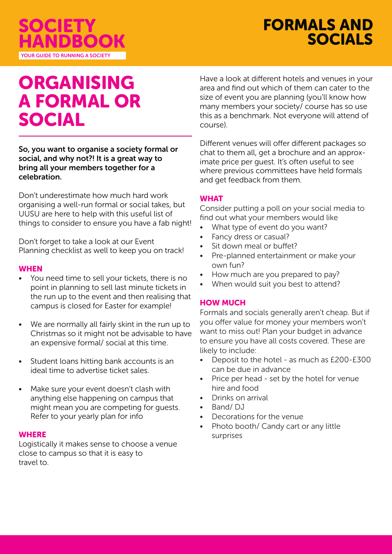

# ORGANISING A FORMAL OR SOCIAL

YOUR GUIDE TO RUNNING A SOCIETY

HANDBOOK

SOCIETY

So, you want to organise a society formal or social, and why not?! It is a great way to bring all your members together for a celebration.

Don't underestimate how much hard work organising a well-run formal or social takes, but UUSU are here to help with this useful list of things to consider to ensure you have a fab night!

Don't forget to take a look at our Event Planning checklist as well to keep you on track!

#### **WHEN**

- You need time to sell your tickets, there is no point in planning to sell last minute tickets in the run up to the event and then realising that campus is closed for Easter for example!
- We are normally all fairly skint in the run up to Christmas so it might not be advisable to have an expensive formal/ social at this time.
- Student loans hitting bank accounts is an ideal time to advertise ticket sales.
- Make sure your event doesn't clash with anything else happening on campus that might mean you are competing for guests. Refer to your yearly plan for info

#### **WHERE**

Logistically it makes sense to choose a venue close to campus so that it is easy to travel to.

Have a look at different hotels and venues in your area and find out which of them can cater to the size of event you are planning (you'll know how many members your society/ course has so use this as a benchmark. Not everyone will attend of course).

Different venues will offer different packages so chat to them all, get a brochure and an approximate price per guest. It's often useful to see where previous committees have held formals and get feedback from them.

### **WHAT**

Consider putting a poll on your social media to find out what your members would like

- What type of event do you want?
- Fancy dress or casual?
- Sit down meal or buffet?
- Pre-planned entertainment or make your own fun?
- How much are you prepared to pay?
- When would suit you best to attend?

#### HOW MUCH

Formals and socials generally aren't cheap. But if you offer value for money your members won't want to miss out! Plan your budget in advance to ensure you have all costs covered. These are likely to include:

- Deposit to the hotel as much as £200-£300 can be due in advance
- Price per head set by the hotel for venue hire and food
- Drinks on arrival
- Band/ DJ
- Decorations for the venue
- Photo booth/ Candy cart or any little surprises